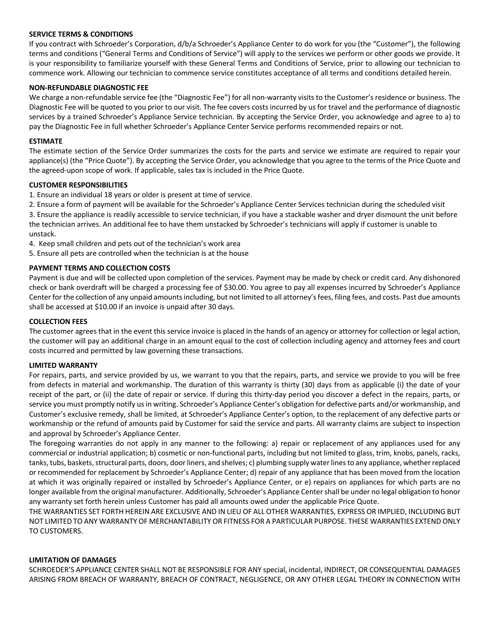## **SERVICE TERMS & CONDITIONS**

If you contract with Schroeder's Corporation, d/b/a Schroeder's Appliance Center to do work for you (the "Customer"), the following terms and conditions ("General Terms and Conditions of Service") will apply to the services we perform or other goods we provide. It is your responsibility to familiarize yourself with these General Terms and Conditions of Service, prior to allowing our technician to commence work. Allowing our technician to commence service constitutes acceptance of all terms and conditions detailed herein.

## **NON-REFUNDABLE DIAGNOSTIC FEE**

We charge a non-refundable service fee (the "Diagnostic Fee") for all non-warranty visits to the Customer's residence or business. The Diagnostic Fee will be quoted to you prior to our visit. The fee covers costs incurred by us for travel and the performance of diagnostic services by a trained Schroeder's Appliance Service technician. By accepting the Service Order, you acknowledge and agree to a) to pay the Diagnostic Fee in full whether Schroeder's Appliance Center Service performs recommended repairs or not.

#### **ESTIMATE**

The estimate section of the Service Order summarizes the costs for the parts and service we estimate are required to repair your appliance(s) (the "Price Quote"). By accepting the Service Order, you acknowledge that you agree to the terms of the Price Quote and the agreed-upon scope of work. If applicable, sales tax is included in the Price Quote.

## **CUSTOMER RESPONSIBILITIES**

1. Ensure an individual 18 years or older is present at time of service.

2. Ensure a form of payment will be available for the Schroeder's Appliance Center Services technician during the scheduled visit

3. Ensure the appliance is readily accessible to service technician, if you have a stackable washer and dryer dismount the unit before the technician arrives. An additional fee to have them unstacked by Schroeder's technicians will apply if customer is unable to unstack.

4. Keep small children and pets out of the technician's work area

5. Ensure all pets are controlled when the technician is at the house

# **PAYMENT TERMS AND COLLECTION COSTS**

Payment is due and will be collected upon completion of the services. Payment may be made by check or credit card. Any dishonored check or bank overdraft will be charged a processing fee of \$30.00. You agree to pay all expenses incurred by Schroeder's Appliance Center for the collection of any unpaid amounts including, but not limited to all attorney's fees, filing fees, and costs. Past due amounts shall be accessed at \$10.00 if an invoice is unpaid after 30 days.

#### **COLLECTION FEES**

The customer agrees that in the event this service invoice is placed in the hands of an agency or attorney for collection or legal action, the customer will pay an additional charge in an amount equal to the cost of collection including agency and attorney fees and court costs incurred and permitted by law governing these transactions.

#### **LIMITED WARRANTY**

For repairs, parts, and service provided by us, we warrant to you that the repairs, parts, and service we provide to you will be free from defects in material and workmanship. The duration of this warranty is thirty (30) days from as applicable (i) the date of your receipt of the part, or (ii) the date of repair or service. If during this thirty-day period you discover a defect in the repairs, parts, or service you must promptly notify us in writing. Schroeder's Appliance Center's obligation for defective parts and/or workmanship, and Customer's exclusive remedy, shall be limited, at Schroeder's Appliance Center's option, to the replacement of any defective parts or workmanship or the refund of amounts paid by Customer for said the service and parts. All warranty claims are subject to inspection and approval by Schroeder's Appliance Center.

The foregoing warranties do not apply in any manner to the following: a) repair or replacement of any appliances used for any commercial or industrial application; b) cosmetic or non-functional parts, including but not limited to glass, trim, knobs, panels, racks, tanks, tubs, baskets, structural parts, doors, door liners, and shelves; c) plumbing supply water lines to any appliance, whether replaced or recommended for replacement by Schroeder's Appliance Center; d) repair of any appliance that has been moved from the location at which it was originally repaired or installed by Schroeder's Appliance Center, or e) repairs on appliances for which parts are no longer available from the original manufacturer. Additionally, Schroeder's Appliance Center shall be under no legal obligation to honor any warranty set forth herein unless Customer has paid all amounts owed under the applicable Price Quote.

THE WARRANTIES SET FORTH HEREIN ARE EXCLUSIVE AND IN LIEU OF ALL OTHER WARRANTIES, EXPRESS OR IMPLIED, INCLUDING BUT NOT LIMITED TO ANY WARRANTY OF MERCHANTABILITY OR FITNESS FOR A PARTICULAR PURPOSE. THESE WARRANTIES EXTEND ONLY TO CUSTOMERS.

#### **LIMITATION OF DAMAGES**

SCHROEDER'S APPLIANCE CENTER SHALL NOT BE RESPONSIBLE FOR ANY special, incidental, INDIRECT, OR CONSEQUENTIAL DAMAGES ARISING FROM BREACH OF WARRANTY, BREACH OF CONTRACT, NEGLIGENCE, OR ANY OTHER LEGAL THEORY IN CONNECTION WITH